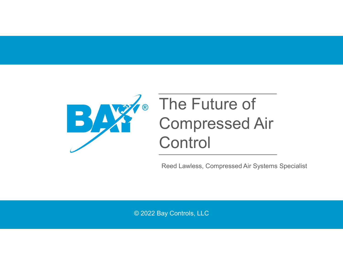

# The Future of Compressed Air **Control**

Reed Lawless, Compressed Air Systems Specialist

© 2022 Bay Controls, LLC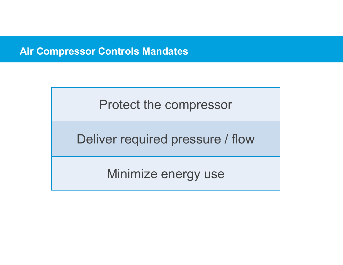#### Air Compressor Controls Mandates

Protect the compressor

Deliver required pressure / flow

Minimize energy use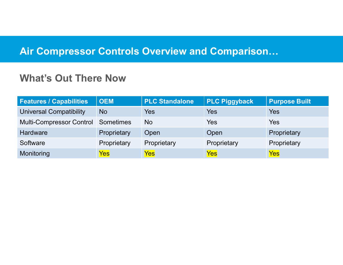# Air Compressor Controls Overview and Comparison…

#### What's Out There Now

| <b>Air Compressor Controls Overview and Comparison</b> |                  |                       |                      |                      |
|--------------------------------------------------------|------------------|-----------------------|----------------------|----------------------|
| <b>What's Out There Now</b>                            |                  |                       |                      |                      |
| <b>Features / Capabilities</b>                         | <b>OEM</b>       | <b>PLC Standalone</b> | <b>PLC Piggyback</b> | <b>Purpose Built</b> |
| <b>Universal Compatibility</b>                         | <b>No</b>        | <b>Yes</b>            | <b>Yes</b>           | <b>Yes</b>           |
| <b>Multi-Compressor Control</b>                        | <b>Sometimes</b> | <b>No</b>             | <b>Yes</b>           | <b>Yes</b>           |
|                                                        | Proprietary      | Open                  | Open                 | Proprietary          |
| <b>Hardware</b>                                        |                  |                       |                      |                      |
| Software                                               | Proprietary      | Proprietary           | Proprietary          | Proprietary          |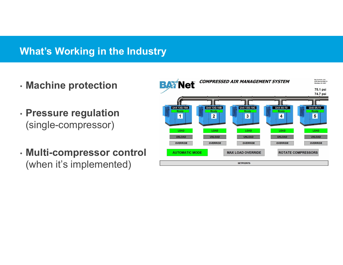# What's Working in the Industry

- Machine protection **BAX Net**
- Pressure regulation
- (when it's implemented)

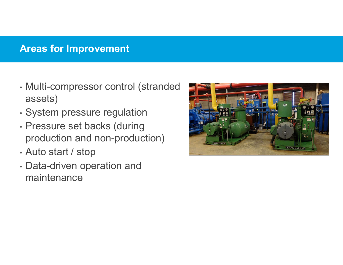# Areas for Improvement

- Multi-compressor control (stranded assets)
- System pressure regulation
- Pressure set backs (during production and non-production)
- Auto start / stop
- Data-driven operation and maintenance

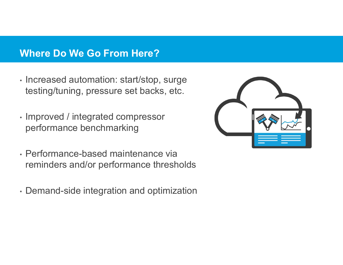#### Where Do We Go From Here?

- Increased automation: start/stop, surge testing/tuning, pressure set backs, etc.<br>• Improved / integrated compressor
- performance benchmarking
- Performance-based maintenance via reminders and/or performance thresholds
- Demand-side integration and optimization

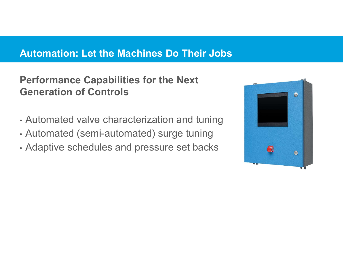# Automation: Let the Machines Do Their Jobs

# Performance Capabilities for the Next Generation of Controls

- Automated valve characterization and tuning
- Automated (semi-automated) surge tuning
- Adaptive schedules and pressure set backs

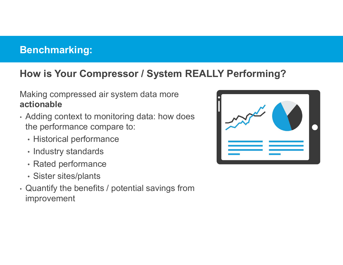#### Benchmarking:

# How is Your Compressor / System REALLY Performing?

#### Making compressed air system data more actionable

- Adding context to monitoring data: how does the performance compare to:
	- Historical performance
	- Industry standards
	-
	-
- Rated performance Sister sites/plants Quantify the benefits / potential savings from improvement

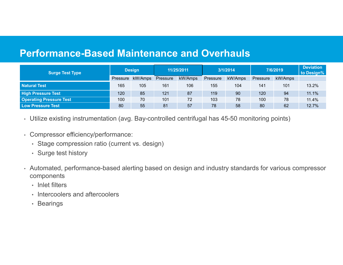#### Performance-Based Maintenance and Overhauls

| <b>Performance-Based Maintenance and Overhauls</b><br><b>Surge Test Type</b> |
|------------------------------------------------------------------------------|
| <b>Natural Test</b>                                                          |
| <b>High Pressure Test</b>                                                    |
| <b>Operating Pressure Test</b>                                               |

- 
- Compressor efficiency/performance: Stage compression ratio (current vs. design)
	-
- Surge test history Automated, performance-based alerting based on design and industry standards for various compressor components
	- Inlet filters
	- Intercoolers and aftercoolers
	- Bearings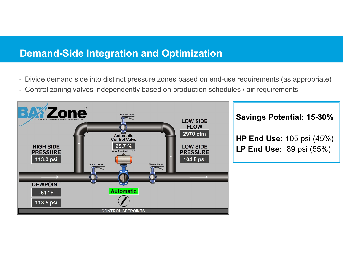# Demand-Side Integration and Optimization

- Divide demand side into distinct pressure zones based on end-use requirements (as appropriate) Control zoning valves independently based on production schedules / air requirements
- 



#### Savings Potential: 15-30%

HP End Use: 105 psi (45%) LP End Use: 89 psi (55%)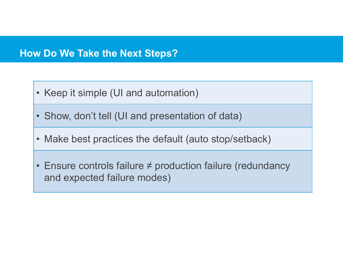#### How Do We Take the Next Steps?

- 
- v Do We Take the Next Steps?<br>• Keep it simple (UI and automation)<br>• Show, don't tell (UI and presentation of data)
- **Do We Take the Next Steps?**<br>• Keep it simple (UI and automation)<br>• Show, don't tell (UI and presentation of data)<br>• Make best practices the default (auto stop/setback) • **No We Take the Next Steps?**<br>• Keep it simple (UI and automation)<br>• Show, don't tell (UI and presentation of data)<br>• Make best practices the default (auto stop/setback)<br>• Ensure controls failure ≠ production failure (re
- Keep it simple (UI and automation)<br>• Show, don't tell (UI and presentation of data)<br>• Make best practices the default (auto stop/setback)<br>• Ensure controls failure ≠ production failure (redundancy and expected failure m and expected failure modes)